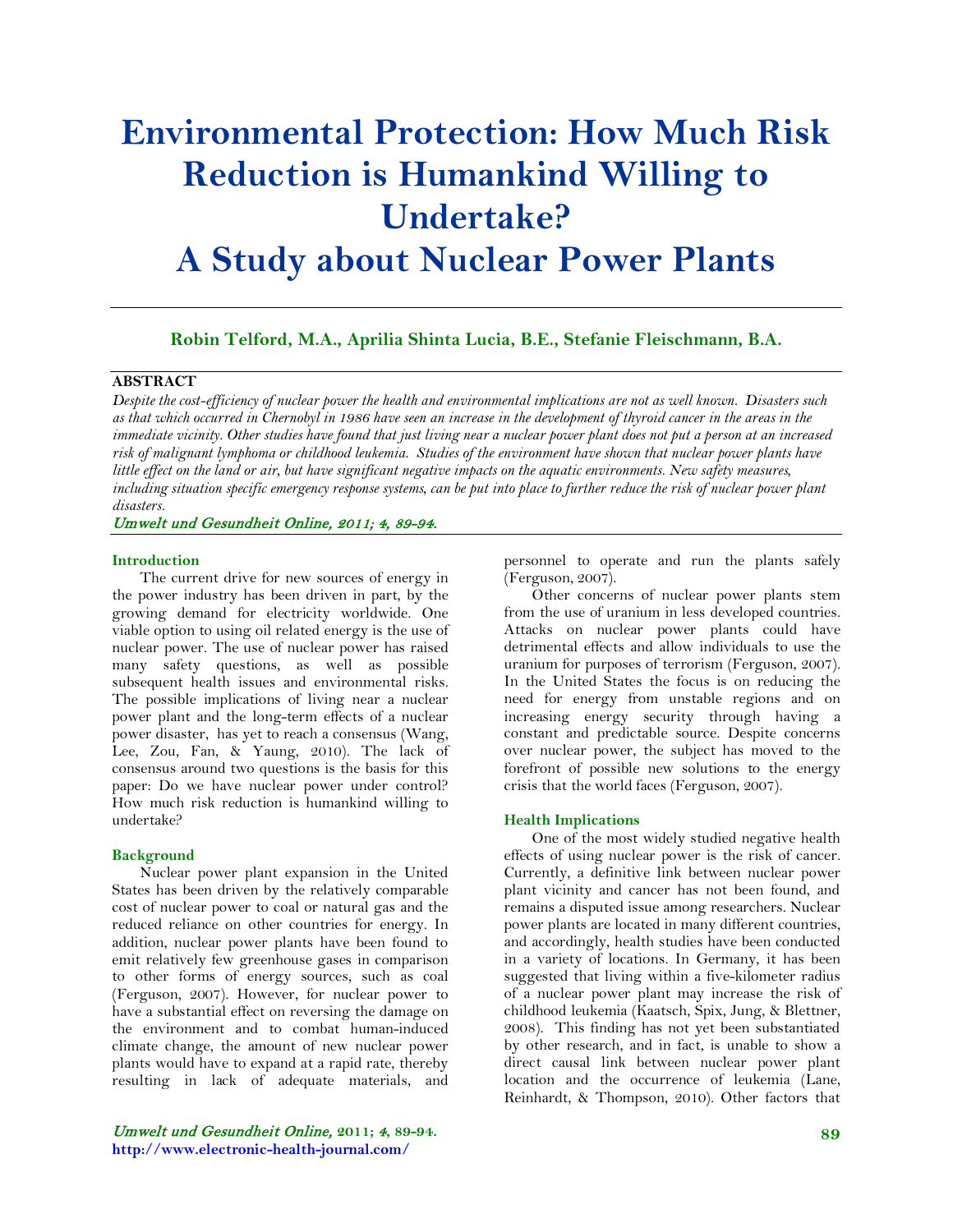# **Environmental Protection: How Much Risk Reduction is Humankind Willing to Undertake? A Study about Nuclear Power Plants**

**Robin Telford, M.A., Aprilia Shinta Lucia, B.E., Stefanie Fleischmann, B.A.**

## **ABSTRACT**

*Despite the cost-efficiency of nuclear power the health and environmental implications are not as well known. Disasters such as that which occurred in Chernobyl in 1986 have seen an increase in the development of thyroid cancer in the areas in the immediate vicinity. Other studies have found that just living near a nuclear power plant does not put a person at an increased risk of malignant lymphoma or childhood leukemia. Studies of the environment have shown that nuclear power plants have little effect on the land or air, but have significant negative impacts on the aquatic environments. New safety measures, including situation specific emergency response systems, can be put into place to further reduce the risk of nuclear power plant disasters.*

# Umwelt und Gesundheit Online, 2011; 4, 89-94.

#### **Introduction**

The current drive for new sources of energy in the power industry has been driven in part, by the growing demand for electricity worldwide. One viable option to using oil related energy is the use of nuclear power. The use of nuclear power has raised many safety questions, as well as possible subsequent health issues and environmental risks. The possible implications of living near a nuclear power plant and the long-term effects of a nuclear power disaster, has yet to reach a consensus [\(Wang,](#page-5-0)  [Lee, Zou, Fan, & Yaung, 2010\)](#page-5-0). The lack of consensus around two questions is the basis for this paper: Do we have nuclear power under control? How much risk reduction is humankind willing to undertake?

#### **Background**

Nuclear power plant expansion in the United States has been driven by the relatively comparable cost of nuclear power to coal or natural gas and the reduced reliance on other countries for energy. In addition, nuclear power plants have been found to emit relatively few greenhouse gases in comparison to other forms of energy sources, such as coal (Ferguson, 2007). However, for nuclear power to have a substantial effect on reversing the damage on the environment and to combat human-induced climate change, the amount of new nuclear power plants would have to expand at a rapid rate, thereby resulting in lack of adequate materials, and

Umwelt und Gesundheit Online, **2011;** 4**, 89-94. http://www.electronic-health-journal.com/**

personnel to operate and run the plants safely (Ferguson, 2007).

Other concerns of nuclear power plants stem from the use of uranium in less developed countries. Attacks on nuclear power plants could have detrimental effects and allow individuals to use the uranium for purposes of terrorism (Ferguson, 2007). In the United States the focus is on reducing the need for energy from unstable regions and on increasing energy security through having a constant and predictable source. Despite concerns over nuclear power, the subject has moved to the forefront of possible new solutions to the energy crisis that the world faces (Ferguson, 2007).

#### **Health Implications**

One of the most widely studied negative health effects of using nuclear power is the risk of cancer. Currently, a definitive link between nuclear power plant vicinity and cancer has not been found, and remains a disputed issue among researchers. Nuclear power plants are located in many different countries, and accordingly, health studies have been conducted in a variety of locations. In Germany, it has been suggested that living within a five-kilometer radius of a nuclear power plant may increase the risk of childhood leukemia [\(Kaatsch, Spix, Jung, & Blettner,](#page-4-0)  [2008\)](#page-4-0). This finding has not yet been substantiated by other research, and in fact, is unable to show a direct causal link between nuclear power plant location and the occurrence of leukemia [\(Lane,](#page-4-1)  [Reinhardt, & Thompson, 2010\)](#page-4-1). Other factors that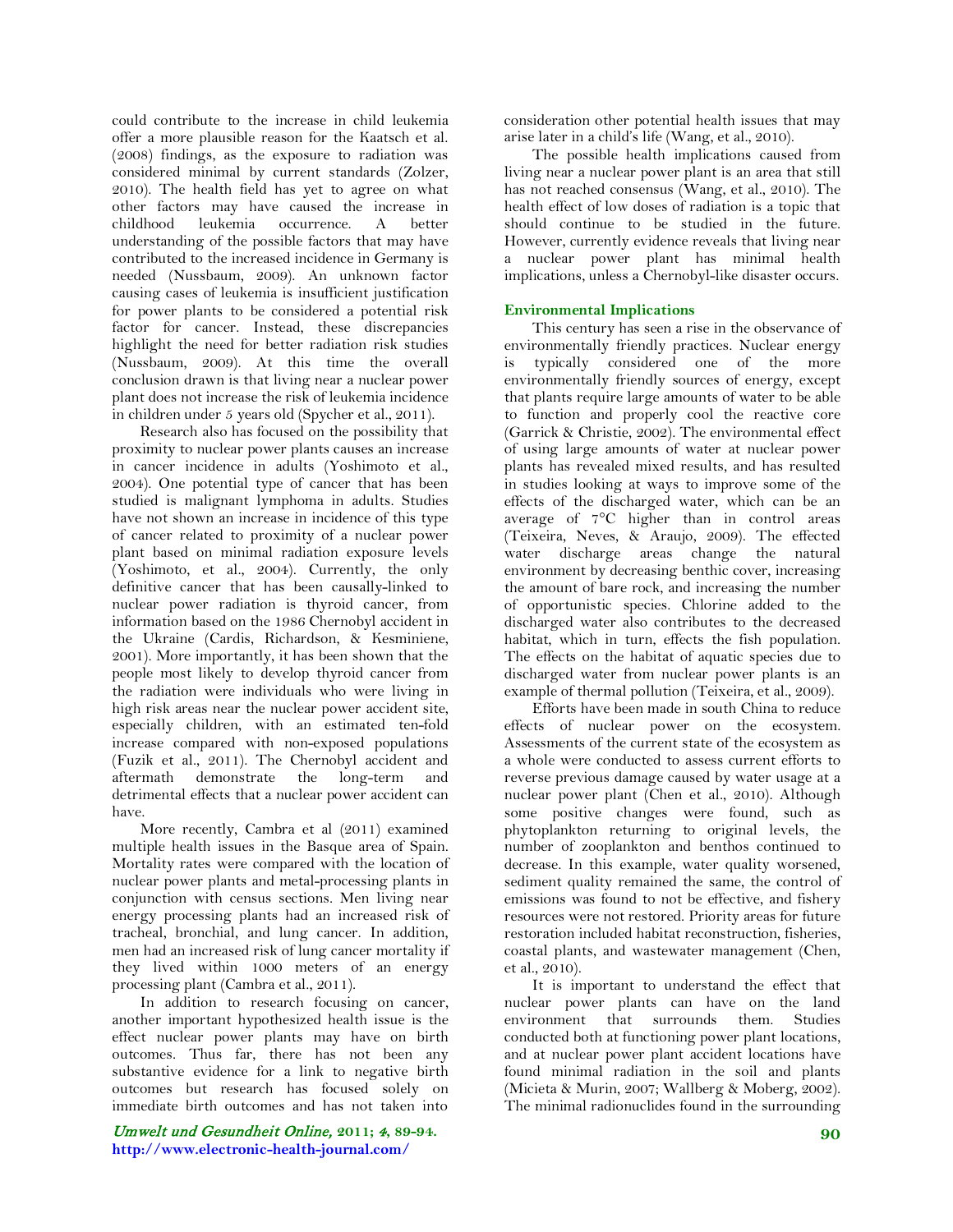could contribute to the increase in child leukemia offer a more plausible reason for the Kaatsch et al. (2008) findings, as the exposure to radiation was considered minimal by current standards [\(Zolzer,](#page-5-1)  [2010\)](#page-5-1). The health field has yet to agree on what other factors may have caused the increase in childhood leukemia occurrence. A better understanding of the possible factors that may have contributed to the increased incidence in Germany is needed [\(Nussbaum, 2009\)](#page-4-2). An unknown factor causing cases of leukemia is insufficient justification for power plants to be considered a potential risk factor for cancer. Instead, these discrepancies highlight the need for better radiation risk studies [\(Nussbaum, 2009\)](#page-4-2). At this time the overall conclusion drawn is that living near a nuclear power plant does not increase the risk of leukemia incidence in children under 5 years old [\(Spycher et al., 2011\)](#page-4-3).

Research also has focused on the possibility that proximity to nuclear power plants causes an increase in cancer incidence in adults [\(Yoshimoto et al.,](#page-5-2)  [2004\)](#page-5-2). One potential type of cancer that has been studied is malignant lymphoma in adults. Studies have not shown an increase in incidence of this type of cancer related to proximity of a nuclear power plant based on minimal radiation exposure levels [\(Yoshimoto, et al., 2004\)](#page-5-2). Currently, the only definitive cancer that has been causally-linked to nuclear power radiation is thyroid cancer, from information based on the 1986 Chernobyl accident in the Ukraine [\(Cardis, Richardson, & Kesminiene,](#page-4-4)  [2001\)](#page-4-4). More importantly, it has been shown that the people most likely to develop thyroid cancer from the radiation were individuals who were living in high risk areas near the nuclear power accident site, especially children, with an estimated ten-fold increase compared with non-exposed populations [\(Fuzik et al., 2011\)](#page-4-5). The Chernobyl accident and aftermath demonstrate the long-term and detrimental effects that a nuclear power accident can have.

More recently, Cambra et al [\(2011\)](#page-4-6) examined multiple health issues in the Basque area of Spain. Mortality rates were compared with the location of nuclear power plants and metal-processing plants in conjunction with census sections. Men living near energy processing plants had an increased risk of tracheal, bronchial, and lung cancer. In addition, men had an increased risk of lung cancer mortality if they lived within 1000 meters of an energy processing plant (Cambra et al., 2011).

In addition to research focusing on cancer, another important hypothesized health issue is the effect nuclear power plants may have on birth outcomes. Thus far, there has not been any substantive evidence for a link to negative birth outcomes but research has focused solely on immediate birth outcomes and has not taken into

Umwelt und Gesundheit Online, **2011;** 4**, 89-94. http://www.electronic-health-journal.com/**

consideration other potential health issues that may arise later in a child's life [\(Wang, et al., 2010\)](#page-5-0).

The possible health implications caused from living near a nuclear power plant is an area that still has not reached consensus [\(Wang, et al., 2010\)](#page-5-0). The health effect of low doses of radiation is a topic that should continue to be studied in the future. However, currently evidence reveals that living near a nuclear power plant has minimal health implications, unless a Chernobyl-like disaster occurs.

# **Environmental Implications**

This century has seen a rise in the observance of environmentally friendly practices. Nuclear energy is typically considered one of the more environmentally friendly sources of energy, except that plants require large amounts of water to be able to function and properly cool the reactive core [\(Garrick & Christie, 2002\)](#page-4-7). The environmental effect of using large amounts of water at nuclear power plants has revealed mixed results, and has resulted in studies looking at ways to improve some of the effects of the discharged water, which can be an average of 7°C higher than in control areas [\(Teixeira, Neves, & Araujo, 2009\)](#page-5-3). The effected water discharge areas change the natural environment by decreasing benthic cover, increasing the amount of bare rock, and increasing the number of opportunistic species. Chlorine added to the discharged water also contributes to the decreased habitat, which in turn, effects the fish population. The effects on the habitat of aquatic species due to discharged water from nuclear power plants is an example of thermal pollution [\(Teixeira, et al., 2009\)](#page-5-3).

Efforts have been made in south China to reduce effects of nuclear power on the ecosystem. Assessments of the current state of the ecosystem as a whole were conducted to assess current efforts to reverse previous damage caused by water usage at a nuclear power plant [\(Chen et al., 2010\)](#page-4-8). Although some positive changes were found, such as phytoplankton returning to original levels, the number of zooplankton and benthos continued to decrease. In this example, water quality worsened, sediment quality remained the same, the control of emissions was found to not be effective, and fishery resources were not restored. Priority areas for future restoration included habitat reconstruction, fisheries, coastal plants, and wastewater management [\(Chen,](#page-4-8)  [et al., 2010\)](#page-4-8).

It is important to understand the effect that nuclear power plants can have on the land environment that surrounds them. Studies conducted both at functioning power plant locations, and at nuclear power plant accident locations have found minimal radiation in the soil and plants [\(Micieta & Murin, 2007;](#page-4-9) [Wallberg & Moberg, 2002\)](#page-5-4). The minimal radionuclides found in the surrounding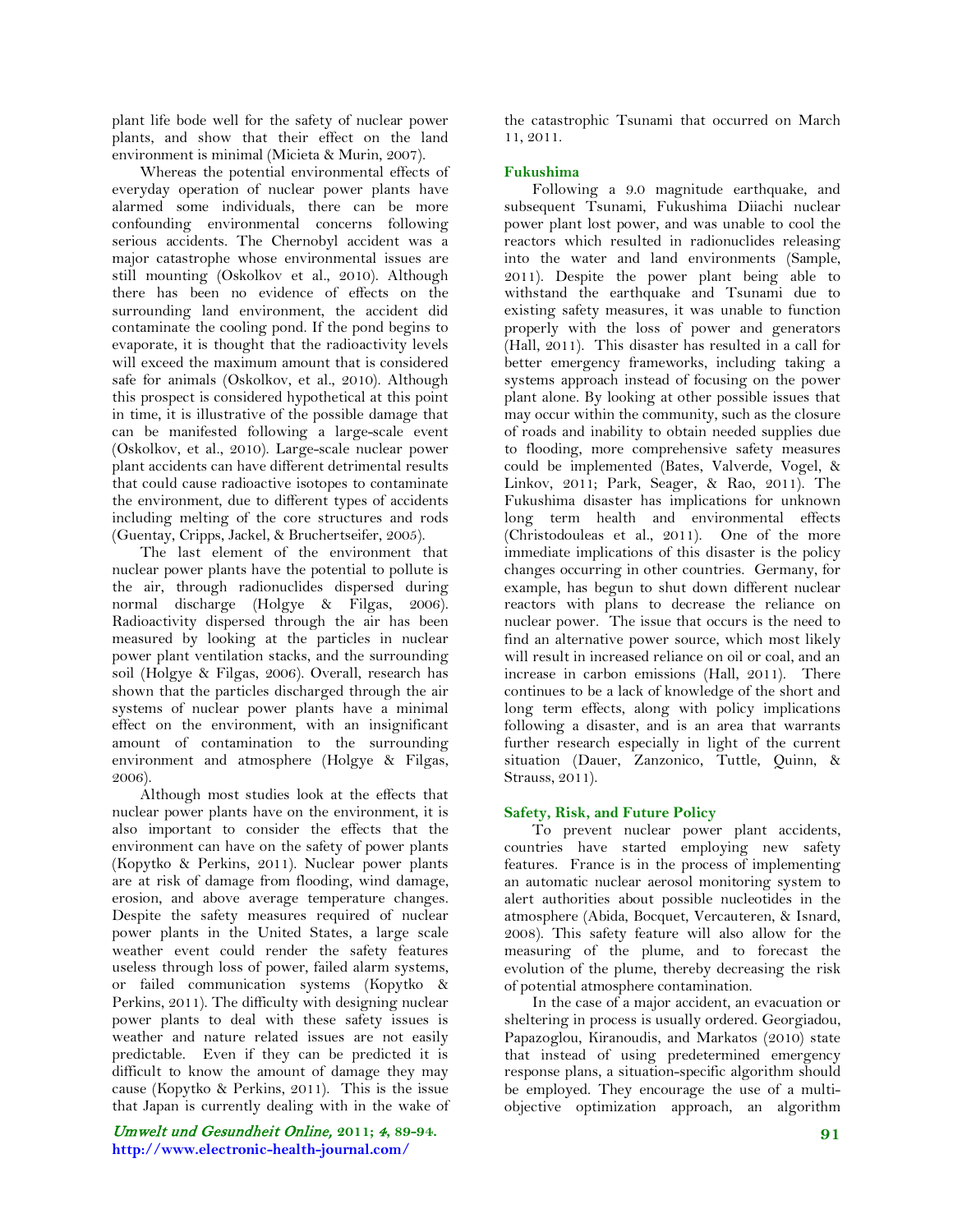plant life bode well for the safety of nuclear power plants, and show that their effect on the land environment is minimal [\(Micieta & Murin, 2007\)](#page-4-9).

Whereas the potential environmental effects of everyday operation of nuclear power plants have alarmed some individuals, there can be more confounding environmental concerns following serious accidents. The Chernobyl accident was a major catastrophe whose environmental issues are still mounting [\(Oskolkov et al., 2010\)](#page-4-10). Although there has been no evidence of effects on the surrounding land environment, the accident did contaminate the cooling pond. If the pond begins to evaporate, it is thought that the radioactivity levels will exceed the maximum amount that is considered safe for animals [\(Oskolkov, et al., 2010\)](#page-4-10). Although this prospect is considered hypothetical at this point in time, it is illustrative of the possible damage that can be manifested following a large-scale event [\(Oskolkov, et al., 2010\)](#page-4-10). Large-scale nuclear power plant accidents can have different detrimental results that could cause radioactive isotopes to contaminate the environment, due to different types of accidents including melting of the core structures and rods [\(Guentay, Cripps, Jackel, & Bruchertseifer, 2005\)](#page-4-11).

The last element of the environment that nuclear power plants have the potential to pollute is the air, through radionuclides dispersed during normal discharge [\(Holgye & Filgas, 2006\)](#page-4-12). Radioactivity dispersed through the air has been measured by looking at the particles in nuclear power plant ventilation stacks, and the surrounding soil [\(Holgye & Filgas, 2006\)](#page-4-12). Overall, research has shown that the particles discharged through the air systems of nuclear power plants have a minimal effect on the environment, with an insignificant amount of contamination to the surrounding environment and atmosphere [\(Holgye & Filgas,](#page-4-12)  [2006\)](#page-4-12).

Although most studies look at the effects that nuclear power plants have on the environment, it is also important to consider the effects that the environment can have on the safety of power plants [\(Kopytko & Perkins, 2011\)](#page-4-13). Nuclear power plants are at risk of damage from flooding, wind damage, erosion, and above average temperature changes. Despite the safety measures required of nuclear power plants in the United States, a large scale weather event could render the safety features useless through loss of power, failed alarm systems, or failed communication systems [\(Kopytko &](#page-4-13)  [Perkins, 2011\)](#page-4-13). The difficulty with designing nuclear power plants to deal with these safety issues is weather and nature related issues are not easily predictable. Even if they can be predicted it is difficult to know the amount of damage they may cause [\(Kopytko & Perkins, 2011\)](#page-4-13). This is the issue that Japan is currently dealing with in the wake of

Umwelt und Gesundheit Online, **2011;** 4**, 89-94. http://www.electronic-health-journal.com/**

the catastrophic Tsunami that occurred on March 11, 2011.

# **Fukushima**

Following a 9.0 magnitude earthquake, and subsequent Tsunami, Fukushima Diiachi nuclear power plant lost power, and was unable to cool the reactors which resulted in radionuclides releasing into the water and land environments [\(Sample,](#page-4-14)  [2011\)](#page-4-14). Despite the power plant being able to withstand the earthquake and Tsunami due to existing safety measures, it was unable to function properly with the loss of power and generators [\(Hall, 2011\)](#page-4-15). This disaster has resulted in a call for better emergency frameworks, including taking a systems approach instead of focusing on the power plant alone. By looking at other possible issues that may occur within the community, such as the closure of roads and inability to obtain needed supplies due to flooding, more comprehensive safety measures could be implemented [\(Bates, Valverde, Vogel, &](#page-3-0)  [Linkov, 2011;](#page-3-0) [Park, Seager, & Rao, 2011\)](#page-4-16). The Fukushima disaster has implications for unknown long term health and environmental effects [\(Christodouleas et al., 2011\)](#page-4-17). One of the more immediate implications of this disaster is the policy changes occurring in other countries. Germany, for example, has begun to shut down different nuclear reactors with plans to decrease the reliance on nuclear power. The issue that occurs is the need to find an alternative power source, which most likely will result in increased reliance on oil or coal, and an increase in carbon emissions [\(Hall, 2011\)](#page-4-15). There continues to be a lack of knowledge of the short and long term effects, along with policy implications following a disaster, and is an area that warrants further research especially in light of the current situation [\(Dauer, Zanzonico, Tuttle, Quinn, &](#page-4-18)  [Strauss, 2011\)](#page-4-18).

# **Safety, Risk, and Future Policy**

To prevent nuclear power plant accidents, countries have started employing new safety features. France is in the process of implementing an automatic nuclear aerosol monitoring system to alert authorities about possible nucleotides in the atmosphere [\(Abida, Bocquet, Vercauteren, & Isnard,](#page-3-1)  [2008\)](#page-3-1). This safety feature will also allow for the measuring of the plume, and to forecast the evolution of the plume, thereby decreasing the risk of potential atmosphere contamination.

In the case of a major accident, an evacuation or sheltering in process is usually ordered. Georgiadou, Papazoglou, Kiranoudis, and Markatos [\(2010\)](#page-4-19) state that instead of using predetermined emergency response plans, a situation-specific algorithm should be employed. They encourage the use of a multiobjective optimization approach, an algorithm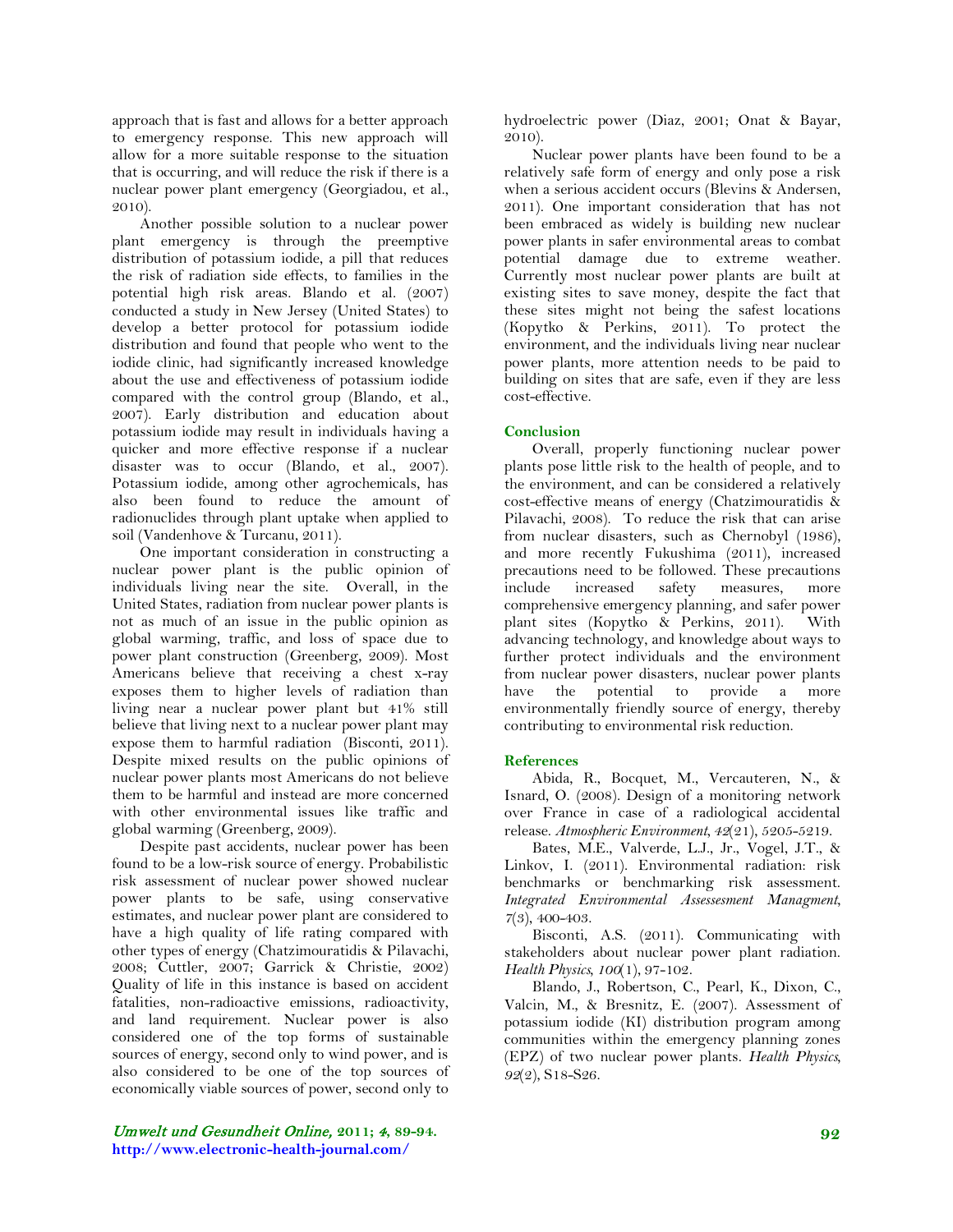approach that is fast and allows for a better approach to emergency response. This new approach will allow for a more suitable response to the situation that is occurring, and will reduce the risk if there is a nuclear power plant emergency [\(Georgiadou, et al.,](#page-4-19)  [2010\)](#page-4-19).

Another possible solution to a nuclear power plant emergency is through the preemptive distribution of potassium iodide, a pill that reduces the risk of radiation side effects, to families in the potential high risk areas. Blando et al. [\(2007\)](#page-3-2) conducted a study in New Jersey (United States) to develop a better protocol for potassium iodide distribution and found that people who went to the iodide clinic, had significantly increased knowledge about the use and effectiveness of potassium iodide compared with the control group [\(Blando, et al.,](#page-3-2)  [2007\)](#page-3-2). Early distribution and education about potassium iodide may result in individuals having a quicker and more effective response if a nuclear disaster was to occur [\(Blando, et al., 2007\)](#page-3-2). Potassium iodide, among other agrochemicals, has also been found to reduce the amount of radionuclides through plant uptake when applied to soil [\(Vandenhove & Turcanu, 2011\)](#page-5-5).

One important consideration in constructing a nuclear power plant is the public opinion of individuals living near the site. Overall, in the United States, radiation from nuclear power plants is not as much of an issue in the public opinion as global warming, traffic, and loss of space due to power plant construction [\(Greenberg, 2009\)](#page-4-20). Most Americans believe that receiving a chest x-ray exposes them to higher levels of radiation than living near a nuclear power plant but 41% still believe that living next to a nuclear power plant may expose them to harmful radiation [\(Bisconti, 2011\)](#page-3-3). Despite mixed results on the public opinions of nuclear power plants most Americans do not believe them to be harmful and instead are more concerned with other environmental issues like traffic and global warming [\(Greenberg, 2009\)](#page-4-20).

Despite past accidents, nuclear power has been found to be a low-risk source of energy. Probabilistic risk assessment of nuclear power showed nuclear power plants to be safe, using conservative estimates, and nuclear power plant are considered to have a high quality of life rating compared with other types of energy [\(Chatzimouratidis & Pilavachi,](#page-4-21)  [2008;](#page-4-21) [Cuttler, 2007;](#page-4-22) [Garrick & Christie, 2002\)](#page-4-7) Quality of life in this instance is based on accident fatalities, non-radioactive emissions, radioactivity, and land requirement. Nuclear power is also considered one of the top forms of sustainable sources of energy, second only to wind power, and is also considered to be one of the top sources of economically viable sources of power, second only to hydroelectric power [\(Diaz, 2001;](#page-4-23) [Onat & Bayar,](#page-4-24)  [2010\)](#page-4-24).

Nuclear power plants have been found to be a relatively safe form of energy and only pose a risk when a serious accident occurs [\(Blevins & Andersen,](#page-3-4)  [2011\)](#page-3-4). One important consideration that has not been embraced as widely is building new nuclear power plants in safer environmental areas to combat potential damage due to extreme weather. Currently most nuclear power plants are built at existing sites to save money, despite the fact that these sites might not being the safest locations [\(Kopytko & Perkins, 2011\)](#page-4-13). To protect the environment, and the individuals living near nuclear power plants, more attention needs to be paid to building on sites that are safe, even if they are less cost-effective.

## **Conclusion**

Overall, properly functioning nuclear power plants pose little risk to the health of people, and to the environment, and can be considered a relatively cost-effective means of energy [\(Chatzimouratidis &](#page-4-21)  [Pilavachi, 2008\)](#page-4-21). To reduce the risk that can arise from nuclear disasters, such as Chernobyl (1986), and more recently Fukushima (2011), increased precautions need to be followed. These precautions include increased safety measures, more comprehensive emergency planning, and safer power plant sites [\(Kopytko & Perkins, 2011\)](#page-4-13). With advancing technology, and knowledge about ways to further protect individuals and the environment from nuclear power disasters, nuclear power plants have the potential to provide a more environmentally friendly source of energy, thereby contributing to environmental risk reduction.

#### **References**

<span id="page-3-1"></span>Abida, R., Bocquet, M., Vercauteren, N., & Isnard, O. (2008). Design of a monitoring network over France in case of a radiological accidental release. *Atmospheric Environment, 42*(21), 5205-5219.

<span id="page-3-0"></span>Bates, M.E., Valverde, L.J., Jr., Vogel, J.T., & Linkov, I. (2011). Environmental radiation: risk benchmarks or benchmarking risk assessment. *Integrated Environmental Assessesment Managment, 7*(3), 400-403.

<span id="page-3-3"></span>Bisconti, A.S. (2011). Communicating with stakeholders about nuclear power plant radiation. *Health Physics, 100*(1), 97-102.

<span id="page-3-4"></span><span id="page-3-2"></span>Blando, J., Robertson, C., Pearl, K., Dixon, C., Valcin, M., & Bresnitz, E. (2007). Assessment of potassium iodide (KI) distribution program among communities within the emergency planning zones (EPZ) of two nuclear power plants. *Health Physics, 92*(2), S18-S26.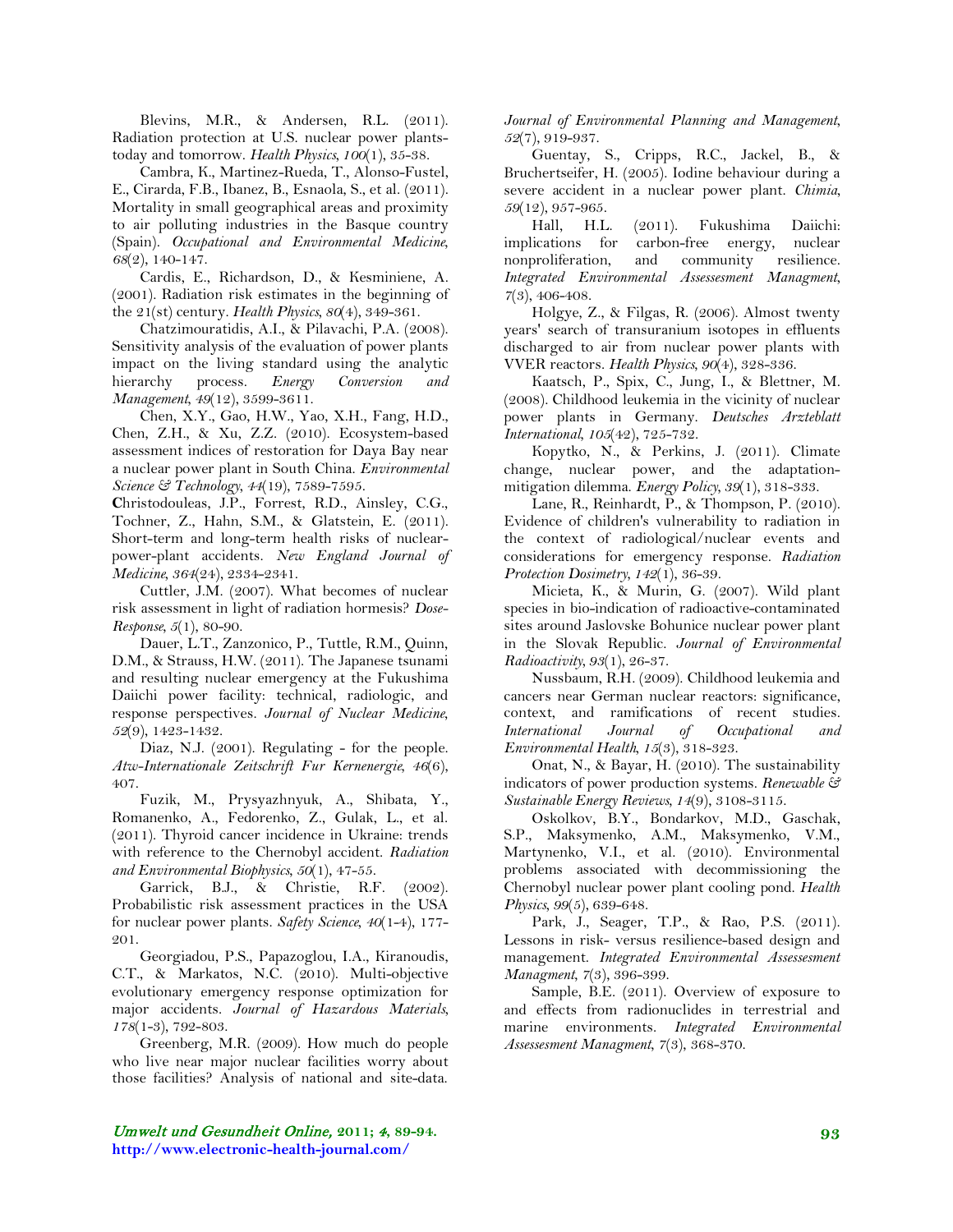Blevins, M.R., & Andersen, R.L. (2011). Radiation protection at U.S. nuclear power plantstoday and tomorrow. *Health Physics, 100*(1), 35-38.

Cambra, K., Martinez-Rueda, T., Alonso-Fustel, E., Cirarda, F.B., Ibanez, B., Esnaola, S., et al. (2011). Mortality in small geographical areas and proximity to air polluting industries in the Basque country (Spain). *Occupational and Environmental Medicine, 68*(2), 140-147.

<span id="page-4-4"></span>Cardis, E., Richardson, D., & Kesminiene, A. (2001). Radiation risk estimates in the beginning of the 21(st) century. *Health Physics, 80*(4), 349-361.

Chatzimouratidis, A.I., & Pilavachi, P.A. (2008). Sensitivity analysis of the evaluation of power plants impact on the living standard using the analytic hierarchy process. *Energy Conversion and Management, 49*(12), 3599-3611.

Chen, X.Y., Gao, H.W., Yao, X.H., Fang, H.D., Chen, Z.H., & Xu, Z.Z. (2010). Ecosystem-based assessment indices of restoration for Daya Bay near a nuclear power plant in South China. *Environmental Science & Technology, 44*(19), 7589-7595.

**C**hristodouleas, J.P., Forrest, R.D., Ainsley, C.G., Tochner, Z., Hahn, S.M., & Glatstein, E. (2011). Short-term and long-term health risks of nuclearpower-plant accidents. *New England Journal of Medicine, 364*(24), 2334-2341.

<span id="page-4-22"></span>Cuttler, J.M. (2007). What becomes of nuclear risk assessment in light of radiation hormesis? *Dose-Response, 5*(1), 80-90.

<span id="page-4-18"></span>Dauer, L.T., Zanzonico, P., Tuttle, R.M., Quinn, D.M., & Strauss, H.W. (2011). The Japanese tsunami and resulting nuclear emergency at the Fukushima Daiichi power facility: technical, radiologic, and response perspectives. *Journal of Nuclear Medicine*, *52*(9), 1423-1432.

Diaz, N.J. (2001). Regulating - for the people. *Atw-Internationale Zeitschrift Fur Kernenergie, 46*(6), 407.

<span id="page-4-5"></span>Fuzik, M., Prysyazhnyuk, A., Shibata, Y., Romanenko, A., Fedorenko, Z., Gulak, L., et al. (2011). Thyroid cancer incidence in Ukraine: trends with reference to the Chernobyl accident. *Radiation and Environmental Biophysics, 50*(1), 47-55.

Garrick, B.J., & Christie, R.F. (2002). Probabilistic risk assessment practices in the USA for nuclear power plants. *Safety Science, 40*(1-4), 177- 201.

<span id="page-4-19"></span>Georgiadou, P.S., Papazoglou, I.A., Kiranoudis, C.T., & Markatos, N.C. (2010). Multi-objective evolutionary emergency response optimization for major accidents. *Journal of Hazardous Materials, 178*(1-3), 792-803.

<span id="page-4-20"></span>Greenberg, M.R. (2009). How much do people who live near major nuclear facilities worry about those facilities? Analysis of national and site-data.

*Journal of Environmental Planning and Management, 52*(7), 919-937.

<span id="page-4-11"></span><span id="page-4-6"></span>Guentay, S., Cripps, R.C., Jackel, B., & Bruchertseifer, H. (2005). Iodine behaviour during a severe accident in a nuclear power plant. *Chimia, 59*(12), 957-965.

<span id="page-4-15"></span>Hall, H.L. (2011). Fukushima Daiichi: implications for carbon-free energy, nuclear nonproliferation, and community resilience. *Integrated Environmental Assessesment Managment, 7*(3), 406-408.

<span id="page-4-21"></span><span id="page-4-12"></span>Holgye, Z., & Filgas, R. (2006). Almost twenty years' search of transuranium isotopes in effluents discharged to air from nuclear power plants with VVER reactors. *Health Physics, 90*(4), 328-336.

<span id="page-4-8"></span><span id="page-4-0"></span>Kaatsch, P., Spix, C., Jung, I., & Blettner, M. (2008). Childhood leukemia in the vicinity of nuclear power plants in Germany. *Deutsches Arzteblatt International, 105*(42), 725-732.

<span id="page-4-13"></span>Kopytko, N., & Perkins, J. (2011). Climate change, nuclear power, and the adaptationmitigation dilemma. *Energy Policy, 39*(1), 318-333.

<span id="page-4-17"></span><span id="page-4-1"></span>Lane, R., Reinhardt, P., & Thompson, P. (2010). Evidence of children's vulnerability to radiation in the context of radiological/nuclear events and considerations for emergency response. *Radiation Protection Dosimetry, 142*(1), 36-39.

<span id="page-4-9"></span>Micieta, K., & Murin, G. (2007). Wild plant species in bio-indication of radioactive-contaminated sites around Jaslovske Bohunice nuclear power plant in the Slovak Republic. *Journal of Environmental Radioactivity, 93*(1), 26-37.

<span id="page-4-23"></span><span id="page-4-2"></span>Nussbaum, R.H. (2009). Childhood leukemia and cancers near German nuclear reactors: significance, context, and ramifications of recent studies. *International Journal of Occupational and Environmental Health, 15*(3), 318-323.

<span id="page-4-24"></span>Onat, N., & Bayar, H. (2010). The sustainability indicators of power production systems. *Renewable & Sustainable Energy Reviews, 14*(9), 3108-3115.

<span id="page-4-10"></span><span id="page-4-7"></span>Oskolkov, B.Y., Bondarkov, M.D., Gaschak, S.P., Maksymenko, A.M., Maksymenko, V.M., Martynenko, V.I., et al. (2010). Environmental problems associated with decommissioning the Chernobyl nuclear power plant cooling pond. *Health Physics, 99*(5), 639-648.

<span id="page-4-16"></span>Park, J., Seager, T.P., & Rao, P.S. (2011). Lessons in risk- versus resilience-based design and management. *Integrated Environmental Assessesment Managment, 7*(3), 396-399.

<span id="page-4-14"></span><span id="page-4-3"></span>Sample, B.E. (2011). Overview of exposure to and effects from radionuclides in terrestrial and marine environments. *Integrated Environmental Assessesment Managment, 7*(3), 368-370.